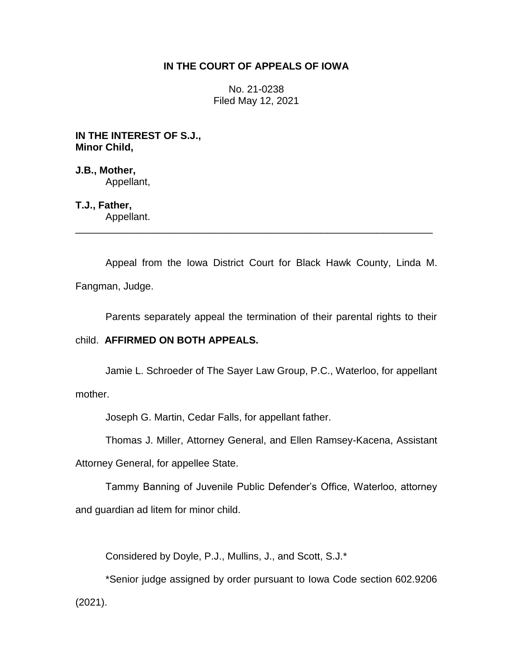## **IN THE COURT OF APPEALS OF IOWA**

No. 21-0238 Filed May 12, 2021

**IN THE INTEREST OF S.J., Minor Child,**

**J.B., Mother,** Appellant,

**T.J., Father,**

Appellant. \_\_\_\_\_\_\_\_\_\_\_\_\_\_\_\_\_\_\_\_\_\_\_\_\_\_\_\_\_\_\_\_\_\_\_\_\_\_\_\_\_\_\_\_\_\_\_\_\_\_\_\_\_\_\_\_\_\_\_\_\_\_\_\_

Appeal from the Iowa District Court for Black Hawk County, Linda M. Fangman, Judge.

Parents separately appeal the termination of their parental rights to their

## child. **AFFIRMED ON BOTH APPEALS.**

Jamie L. Schroeder of The Sayer Law Group, P.C., Waterloo, for appellant mother.

Joseph G. Martin, Cedar Falls, for appellant father.

Thomas J. Miller, Attorney General, and Ellen Ramsey-Kacena, Assistant

Attorney General, for appellee State.

Tammy Banning of Juvenile Public Defender's Office, Waterloo, attorney and guardian ad litem for minor child.

Considered by Doyle, P.J., Mullins, J., and Scott, S.J.\*

\*Senior judge assigned by order pursuant to Iowa Code section 602.9206 (2021).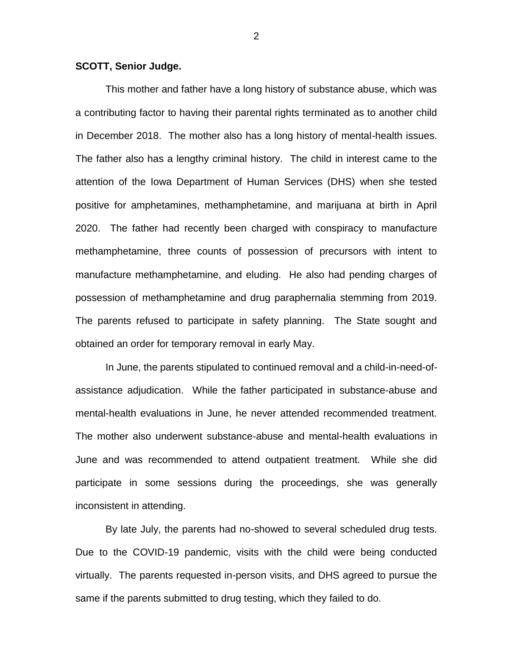## **SCOTT, Senior Judge.**

This mother and father have a long history of substance abuse, which was a contributing factor to having their parental rights terminated as to another child in December 2018. The mother also has a long history of mental-health issues. The father also has a lengthy criminal history. The child in interest came to the attention of the Iowa Department of Human Services (DHS) when she tested positive for amphetamines, methamphetamine, and marijuana at birth in April 2020. The father had recently been charged with conspiracy to manufacture methamphetamine, three counts of possession of precursors with intent to manufacture methamphetamine, and eluding. He also had pending charges of possession of methamphetamine and drug paraphernalia stemming from 2019. The parents refused to participate in safety planning. The State sought and obtained an order for temporary removal in early May.

In June, the parents stipulated to continued removal and a child-in-need-ofassistance adjudication. While the father participated in substance-abuse and mental-health evaluations in June, he never attended recommended treatment. The mother also underwent substance-abuse and mental-health evaluations in June and was recommended to attend outpatient treatment. While she did participate in some sessions during the proceedings, she was generally inconsistent in attending.

By late July, the parents had no-showed to several scheduled drug tests. Due to the COVID-19 pandemic, visits with the child were being conducted virtually. The parents requested in-person visits, and DHS agreed to pursue the same if the parents submitted to drug testing, which they failed to do.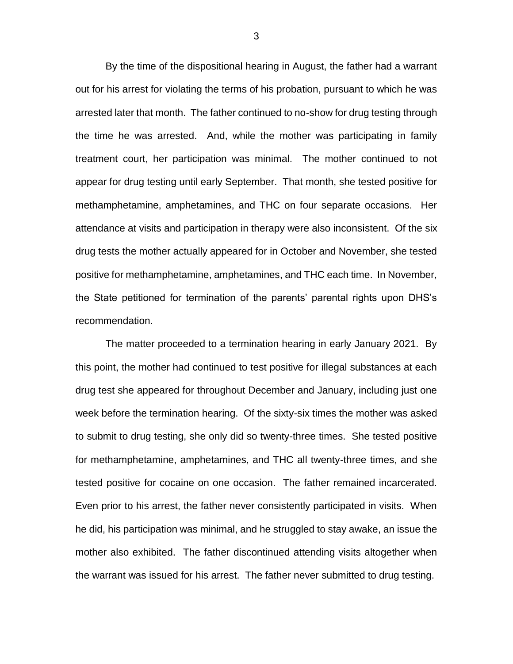By the time of the dispositional hearing in August, the father had a warrant out for his arrest for violating the terms of his probation, pursuant to which he was arrested later that month. The father continued to no-show for drug testing through the time he was arrested. And, while the mother was participating in family treatment court, her participation was minimal. The mother continued to not appear for drug testing until early September. That month, she tested positive for methamphetamine, amphetamines, and THC on four separate occasions. Her attendance at visits and participation in therapy were also inconsistent. Of the six drug tests the mother actually appeared for in October and November, she tested positive for methamphetamine, amphetamines, and THC each time. In November, the State petitioned for termination of the parents' parental rights upon DHS's recommendation.

The matter proceeded to a termination hearing in early January 2021. By this point, the mother had continued to test positive for illegal substances at each drug test she appeared for throughout December and January, including just one week before the termination hearing. Of the sixty-six times the mother was asked to submit to drug testing, she only did so twenty-three times. She tested positive for methamphetamine, amphetamines, and THC all twenty-three times, and she tested positive for cocaine on one occasion. The father remained incarcerated. Even prior to his arrest, the father never consistently participated in visits. When he did, his participation was minimal, and he struggled to stay awake, an issue the mother also exhibited. The father discontinued attending visits altogether when the warrant was issued for his arrest. The father never submitted to drug testing.

3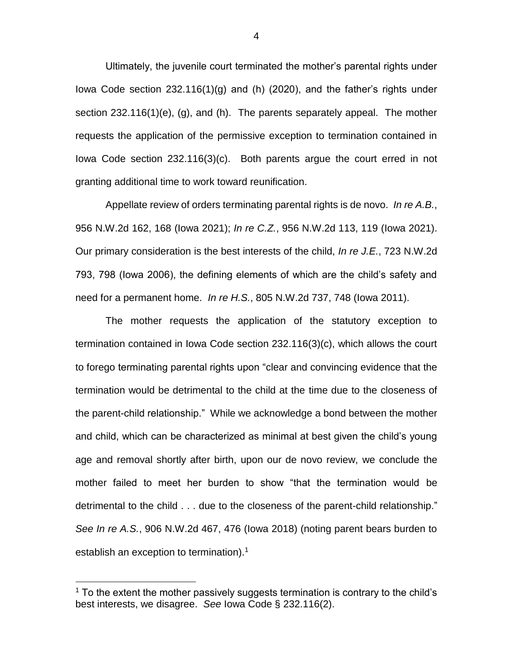Ultimately, the juvenile court terminated the mother's parental rights under Iowa Code section 232.116(1)(g) and (h) (2020), and the father's rights under section 232.116(1)(e), (g), and (h). The parents separately appeal. The mother requests the application of the permissive exception to termination contained in Iowa Code section 232.116(3)(c). Both parents argue the court erred in not granting additional time to work toward reunification.

Appellate review of orders terminating parental rights is de novo. *In re A.B.*, 956 N.W.2d 162, 168 (Iowa 2021); *In re C.Z.*, 956 N.W.2d 113, 119 (Iowa 2021). Our primary consideration is the best interests of the child, *In re J.E.*, 723 N.W.2d 793, 798 (Iowa 2006), the defining elements of which are the child's safety and need for a permanent home. *In re H.S.*, 805 N.W.2d 737, 748 (Iowa 2011).

The mother requests the application of the statutory exception to termination contained in Iowa Code section 232.116(3)(c), which allows the court to forego terminating parental rights upon "clear and convincing evidence that the termination would be detrimental to the child at the time due to the closeness of the parent-child relationship." While we acknowledge a bond between the mother and child, which can be characterized as minimal at best given the child's young age and removal shortly after birth, upon our de novo review, we conclude the mother failed to meet her burden to show "that the termination would be detrimental to the child . . . due to the closeness of the parent-child relationship." *See In re A.S.*, 906 N.W.2d 467, 476 (Iowa 2018) (noting parent bears burden to establish an exception to termination).<sup>1</sup>

 $\overline{a}$ 

 $1$  To the extent the mother passively suggests termination is contrary to the child's best interests, we disagree. *See* Iowa Code § 232.116(2).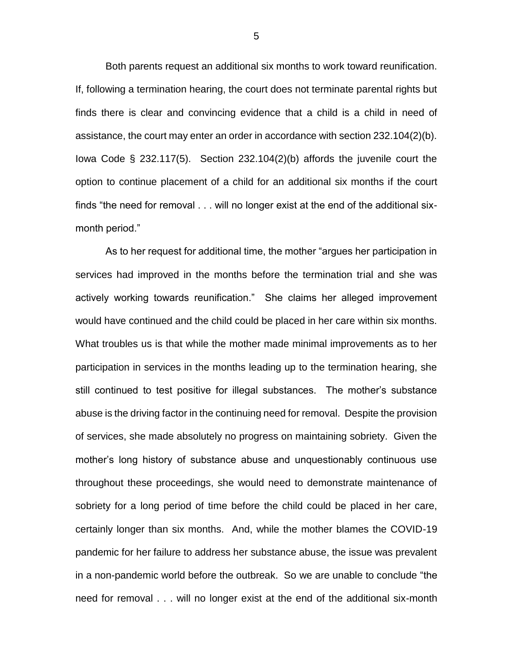Both parents request an additional six months to work toward reunification. If, following a termination hearing, the court does not terminate parental rights but finds there is clear and convincing evidence that a child is a child in need of assistance, the court may enter an order in accordance with section 232.104(2)(b). Iowa Code § 232.117(5). Section 232.104(2)(b) affords the juvenile court the option to continue placement of a child for an additional six months if the court finds "the need for removal . . . will no longer exist at the end of the additional sixmonth period."

As to her request for additional time, the mother "argues her participation in services had improved in the months before the termination trial and she was actively working towards reunification." She claims her alleged improvement would have continued and the child could be placed in her care within six months. What troubles us is that while the mother made minimal improvements as to her participation in services in the months leading up to the termination hearing, she still continued to test positive for illegal substances. The mother's substance abuse is the driving factor in the continuing need for removal. Despite the provision of services, she made absolutely no progress on maintaining sobriety. Given the mother's long history of substance abuse and unquestionably continuous use throughout these proceedings, she would need to demonstrate maintenance of sobriety for a long period of time before the child could be placed in her care, certainly longer than six months. And, while the mother blames the COVID-19 pandemic for her failure to address her substance abuse, the issue was prevalent in a non-pandemic world before the outbreak. So we are unable to conclude "the need for removal . . . will no longer exist at the end of the additional six-month

5